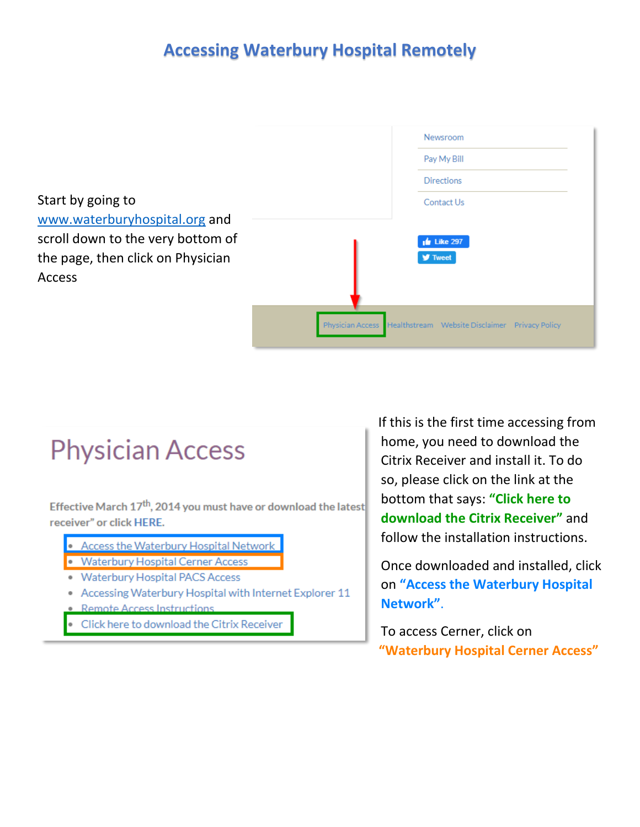## **Accessing Waterbury Hospital Remotely**

Start by going to [www.waterburyhospital.org](http://www.waterburyhospital.org/) and scroll down to the very bottom of the page, then click on Physician Access

| Newsroom                                                        |
|-----------------------------------------------------------------|
| Pay My Bill                                                     |
| <b>Directions</b>                                               |
| Contact Us                                                      |
|                                                                 |
| $\frac{1}{2}$ Like 297                                          |
| <b>y</b> Tweet                                                  |
|                                                                 |
|                                                                 |
| Physician Access Healthstream Website Disclaimer Privacy Policy |

## **Physician Access**

Effective March  $17<sup>th</sup>$ , 2014 you must have or download the latest receiver" or click HERE.

- Access the Waterbury Hospital Network
- Waterbury Hospital Cerner Access
- Waterbury Hospital PACS Access
- Accessing Waterbury Hospital with Internet Explorer 11
- **Remote Access Instructions**
- Click here to download the Citrix Receiver

If this is the first time accessing from home, you need to download the Citrix Receiver and install it. To do so, please click on the link at the bottom that says: **"Click here to download the Citrix Receiver"** and follow the installation instructions.

Once downloaded and installed, click on **"Access the Waterbury Hospital Network"**.

To access Cerner, click on **"Waterbury Hospital Cerner Access"**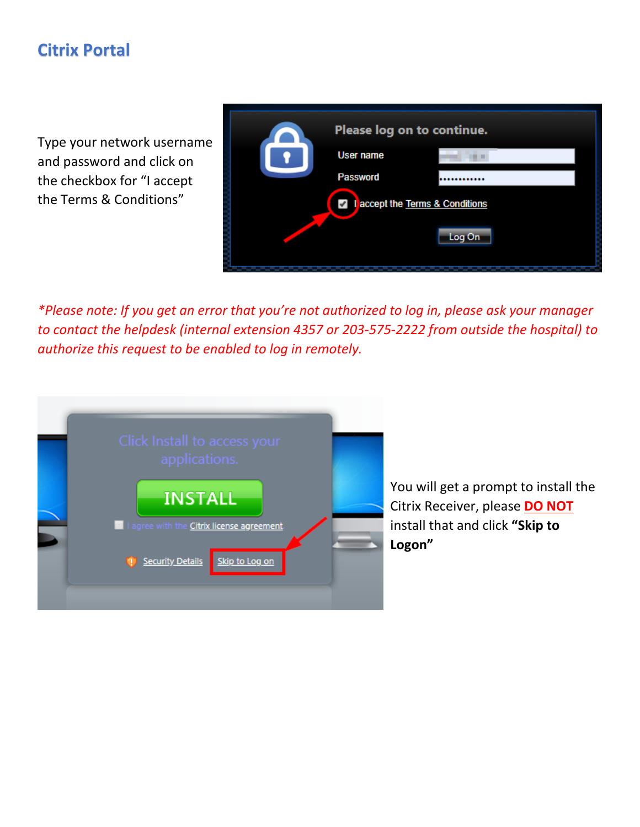## **Citrix Portal**

Type your network username and password and click on the checkbox for "I accept the Terms & Conditions"

| Please log on to continue.         |                  |        |  |
|------------------------------------|------------------|--------|--|
|                                    | <b>User name</b> |        |  |
|                                    | <b>Password</b>  |        |  |
| accept the Terms & Conditions<br>✔ |                  |        |  |
|                                    |                  | Log On |  |
|                                    |                  |        |  |

*\*Please note: If you get an error that you're not authorized to log in, please ask your manager to contact the helpdesk (internal extension 4357 or 203-575-2222 from outside the hospital) to authorize this request to be enabled to log in remotely.* 



You will get a prompt to install the Citrix Receiver, please **DO NOT** install that and click **"Skip to Logon"**